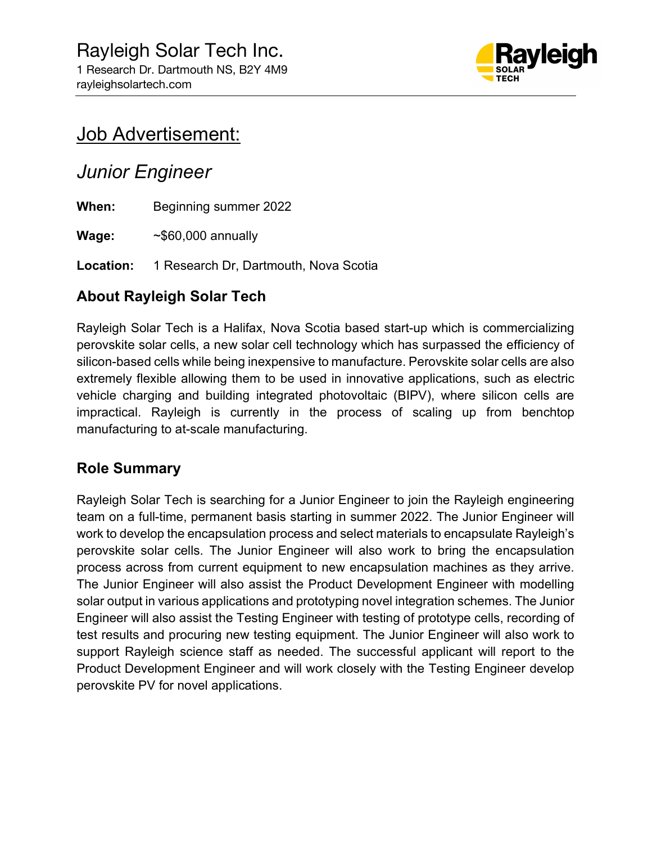

# Job Advertisement:

## Junior Engineer

When: Beginning summer 2022

**Wage:**  $~\sim$ \$60,000 annually

Location: 1 Research Dr, Dartmouth, Nova Scotia

### About Rayleigh Solar Tech

Rayleigh Solar Tech is a Halifax, Nova Scotia based start-up which is commercializing perovskite solar cells, a new solar cell technology which has surpassed the efficiency of silicon-based cells while being inexpensive to manufacture. Perovskite solar cells are also extremely flexible allowing them to be used in innovative applications, such as electric vehicle charging and building integrated photovoltaic (BIPV), where silicon cells are impractical. Rayleigh is currently in the process of scaling up from benchtop manufacturing to at-scale manufacturing.

#### Role Summary

Rayleigh Solar Tech is searching for a Junior Engineer to join the Rayleigh engineering team on a full-time, permanent basis starting in summer 2022. The Junior Engineer will work to develop the encapsulation process and select materials to encapsulate Rayleigh's perovskite solar cells. The Junior Engineer will also work to bring the encapsulation process across from current equipment to new encapsulation machines as they arrive. The Junior Engineer will also assist the Product Development Engineer with modelling solar output in various applications and prototyping novel integration schemes. The Junior Engineer will also assist the Testing Engineer with testing of prototype cells, recording of test results and procuring new testing equipment. The Junior Engineer will also work to support Rayleigh science staff as needed. The successful applicant will report to the Product Development Engineer and will work closely with the Testing Engineer develop perovskite PV for novel applications.